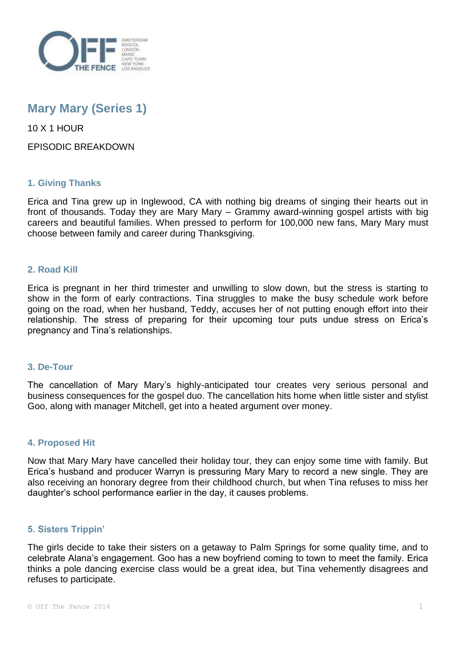

# **Mary Mary (Series 1)**

10 X 1 HOUR

EPISODIC BREAKDOWN

# **1. Giving Thanks**

Erica and Tina grew up in Inglewood, CA with nothing big dreams of singing their hearts out in front of thousands. Today they are Mary Mary – Grammy award-winning gospel artists with big careers and beautiful families. When pressed to perform for 100,000 new fans, Mary Mary must choose between family and career during Thanksgiving.

## **2. Road Kill**

Erica is pregnant in her third trimester and unwilling to slow down, but the stress is starting to show in the form of early contractions. Tina struggles to make the busy schedule work before going on the road, when her husband, Teddy, accuses her of not putting enough effort into their relationship. The stress of preparing for their upcoming tour puts undue stress on Erica's pregnancy and Tina's relationships.

## **3. De-Tour**

The cancellation of Mary Mary's highly-anticipated tour creates very serious personal and business consequences for the gospel duo. The cancellation hits home when little sister and stylist Goo, along with manager Mitchell, get into a heated argument over money.

## **4. Proposed Hit**

Now that Mary Mary have cancelled their holiday tour, they can enjoy some time with family. But Erica's husband and producer Warryn is pressuring Mary Mary to record a new single. They are also receiving an honorary degree from their childhood church, but when Tina refuses to miss her daughter's school performance earlier in the day, it causes problems.

## **5. Sisters Trippin'**

The girls decide to take their sisters on a getaway to Palm Springs for some quality time, and to celebrate Alana's engagement. Goo has a new boyfriend coming to town to meet the family. Erica thinks a pole dancing exercise class would be a great idea, but Tina vehemently disagrees and refuses to participate.